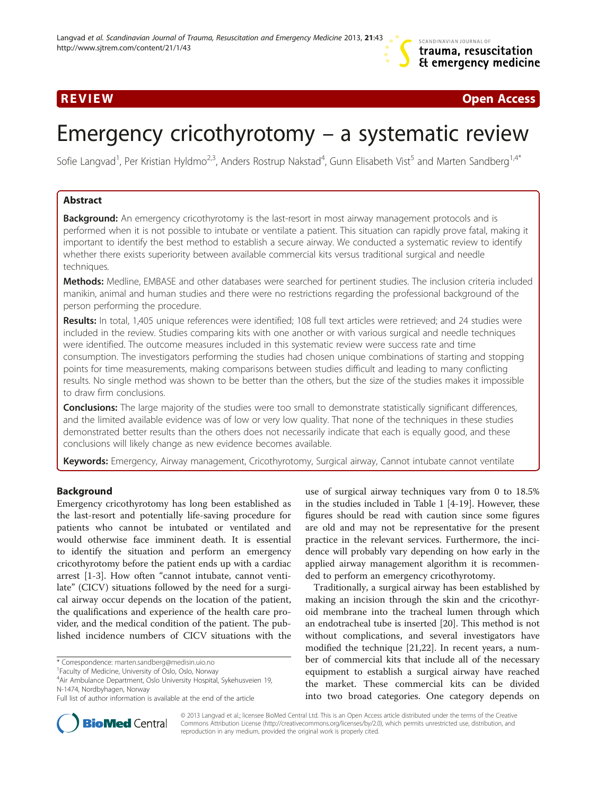R EVI EW Open Access

# Emergency cricothyrotomy – a systematic review

Sofie Langvad<sup>1</sup>, Per Kristian Hyldmo<sup>2,3</sup>, Anders Rostrup Nakstad<sup>4</sup>, Gunn Elisabeth Vist<sup>5</sup> and Marten Sandberg<sup>1,4\*</sup>

## Abstract

Background: An emergency cricothyrotomy is the last-resort in most airway management protocols and is performed when it is not possible to intubate or ventilate a patient. This situation can rapidly prove fatal, making it important to identify the best method to establish a secure airway. We conducted a systematic review to identify whether there exists superiority between available commercial kits versus traditional surgical and needle techniques.

Methods: Medline, EMBASE and other databases were searched for pertinent studies. The inclusion criteria included manikin, animal and human studies and there were no restrictions regarding the professional background of the person performing the procedure.

Results: In total, 1,405 unique references were identified; 108 full text articles were retrieved; and 24 studies were included in the review. Studies comparing kits with one another or with various surgical and needle techniques were identified. The outcome measures included in this systematic review were success rate and time consumption. The investigators performing the studies had chosen unique combinations of starting and stopping points for time measurements, making comparisons between studies difficult and leading to many conflicting results. No single method was shown to be better than the others, but the size of the studies makes it impossible to draw firm conclusions.

**Conclusions:** The large majority of the studies were too small to demonstrate statistically significant differences, and the limited available evidence was of low or very low quality. That none of the techniques in these studies demonstrated better results than the others does not necessarily indicate that each is equally good, and these conclusions will likely change as new evidence becomes available.

Keywords: Emergency, Airway management, Cricothyrotomy, Surgical airway, Cannot intubate cannot ventilate

## Background

Emergency cricothyrotomy has long been established as the last-resort and potentially life-saving procedure for patients who cannot be intubated or ventilated and would otherwise face imminent death. It is essential to identify the situation and perform an emergency cricothyrotomy before the patient ends up with a cardiac arrest [\[1](#page-12-0)-[3\]](#page-12-0). How often "cannot intubate, cannot ventilate" (CICV) situations followed by the need for a surgical airway occur depends on the location of the patient, the qualifications and experience of the health care provider, and the medical condition of the patient. The published incidence numbers of CICV situations with the

\* Correspondence: [marten.sandberg@medisin.uio.no](mailto:marten.sandberg@medisin.uio.no) <sup>1</sup>

4 Air Ambulance Department, Oslo University Hospital, Sykehusveien 19, N-1474, Nordbyhagen, Norway

use of surgical airway techniques vary from 0 to 18.5% in the studies included in Table [1](#page-1-0) [\[4](#page-12-0)-[19\]](#page-13-0). However, these figures should be read with caution since some figures are old and may not be representative for the present practice in the relevant services. Furthermore, the incidence will probably vary depending on how early in the applied airway management algorithm it is recommended to perform an emergency cricothyrotomy.

Traditionally, a surgical airway has been established by making an incision through the skin and the cricothyroid membrane into the tracheal lumen through which an endotracheal tube is inserted [[20\]](#page-13-0). This method is not without complications, and several investigators have modified the technique [\[21,22](#page-13-0)]. In recent years, a number of commercial kits that include all of the necessary equipment to establish a surgical airway have reached the market. These commercial kits can be divided into two broad categories. One category depends on



© 2013 Langvad et al.; licensee BioMed Central Ltd. This is an Open Access article distributed under the terms of the Creative Commons Attribution License [\(http://creativecommons.org/licenses/by/2.0\)](http://creativecommons.org/licenses/by/2.0), which permits unrestricted use, distribution, and reproduction in any medium, provided the original work is properly cited.

Faculty of Medicine, University of Oslo, Oslo, Norway

Full list of author information is available at the end of the article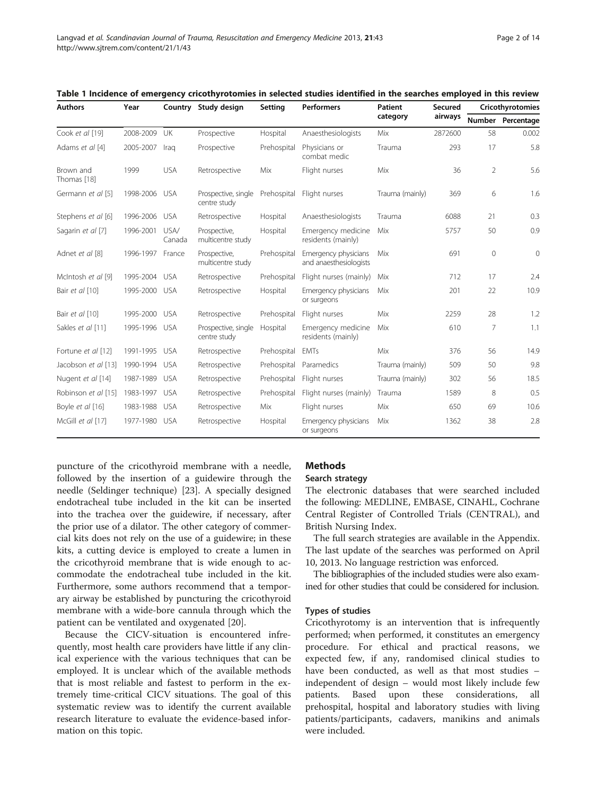| <b>Authors</b>           | Year          | Country        | Study design                        | Setting     | <b>Performers</b>                              | Patient         | Secured | Cricothyrotomies |                   |  |
|--------------------------|---------------|----------------|-------------------------------------|-------------|------------------------------------------------|-----------------|---------|------------------|-------------------|--|
|                          |               |                |                                     |             |                                                | category        | airways |                  | Number Percentage |  |
| Cook et al [19]          | 2008-2009     | <b>UK</b>      | Prospective                         | Hospital    | Anaesthesiologists                             | Mix             | 2872600 | 58               | 0.002             |  |
| Adams et al [4]          | 2005-2007     | Iraq           | Prospective                         | Prehospital | Physicians or<br>combat medic                  | Trauma          | 293     | 17               | 5.8               |  |
| Brown and<br>Thomas [18] | 1999          | <b>USA</b>     | Retrospective                       | Mix         | Flight nurses                                  | Mix             | 36      | $\overline{2}$   | 5.6               |  |
| Germann et al [5]        | 1998-2006     | <b>USA</b>     | Prospective, single<br>centre study | Prehospital | Flight nurses                                  | Trauma (mainly) | 369     | 6                | 1.6               |  |
| Stephens et al [6]       | 1996-2006     | <b>USA</b>     | Retrospective                       | Hospital    | Anaesthesiologists                             | Trauma          | 6088    | 21               | 0.3               |  |
| Sagarin et al [7]        | 1996-2001     | USA/<br>Canada | Prospective,<br>multicentre study   | Hospital    | Emergency medicine<br>residents (mainly)       | Mix             | 5757    | 50               | 0.9               |  |
| Adnet et al [8]          | 1996-1997     | France         | Prospective,<br>multicentre study   | Prehospital | Emergency physicians<br>and anaesthesiologists | Mix             | 691     | $\mathbf{0}$     | $\mathbf 0$       |  |
| McIntosh et al [9]       | 1995-2004     | <b>USA</b>     | Retrospective                       | Prehospital | Flight nurses (mainly)                         | Mix             | 712     | 17               | 2.4               |  |
| Bair et al [10]          | 1995-2000     | <b>USA</b>     | Retrospective                       | Hospital    | Emergency physicians<br>or surgeons            | Mix             | 201     | 22               | 10.9              |  |
| Bair et al [10]          | 1995-2000     | <b>USA</b>     | Retrospective                       | Prehospital | Flight nurses                                  | Mix             | 2259    | 28               | 1.2               |  |
| Sakles et al [11]        | 1995-1996 USA |                | Prospective, single<br>centre study | Hospital    | Emergency medicine<br>residents (mainly)       | Mix             | 610     | 7                | 1.1               |  |
| Fortune et al [12]       | 1991-1995     | <b>USA</b>     | Retrospective                       | Prehospital | <b>EMTs</b>                                    | Mix             | 376     | 56               | 14.9              |  |
| Jacobson et al [13]      | 1990-1994     | <b>USA</b>     | Retrospective                       | Prehospital | Paramedics                                     | Trauma (mainly) | 509     | 50               | 9.8               |  |
| Nugent et al [14]        | 1987-1989     | <b>USA</b>     | Retrospective                       | Prehospital | Flight nurses                                  | Trauma (mainly) | 302     | 56               | 18.5              |  |
| Robinson et al [15]      | 1983-1997     | <b>USA</b>     | Retrospective                       | Prehospital | Flight nurses (mainly)                         | Trauma          | 1589    | 8                | 0.5               |  |
| Boyle et al [16]         | 1983-1988     | <b>USA</b>     | Retrospective                       | Mix         | Flight nurses                                  | Mix             | 650     | 69               | 10.6              |  |
| McGill et al [17]        | 1977-1980     | <b>USA</b>     | Retrospective                       | Hospital    | Emergency physicians<br>or surgeons            | Mix             | 1362    | 38               | 2.8               |  |

<span id="page-1-0"></span>

| Table 1 Incidence of emergency cricothyrotomies in selected studies identified in the searches employed in this review |  |  |  |  |  |  |  |  |
|------------------------------------------------------------------------------------------------------------------------|--|--|--|--|--|--|--|--|
|------------------------------------------------------------------------------------------------------------------------|--|--|--|--|--|--|--|--|

puncture of the cricothyroid membrane with a needle, followed by the insertion of a guidewire through the needle (Seldinger technique) [[23](#page-13-0)]. A specially designed endotracheal tube included in the kit can be inserted into the trachea over the guidewire, if necessary, after the prior use of a dilator. The other category of commercial kits does not rely on the use of a guidewire; in these kits, a cutting device is employed to create a lumen in the cricothyroid membrane that is wide enough to accommodate the endotracheal tube included in the kit. Furthermore, some authors recommend that a temporary airway be established by puncturing the cricothyroid membrane with a wide-bore cannula through which the patient can be ventilated and oxygenated [\[20](#page-13-0)].

Because the CICV-situation is encountered infrequently, most health care providers have little if any clinical experience with the various techniques that can be employed. It is unclear which of the available methods that is most reliable and fastest to perform in the extremely time-critical CICV situations. The goal of this systematic review was to identify the current available research literature to evaluate the evidence-based information on this topic.

## **Methods**

## Search strategy

The electronic databases that were searched included the following: MEDLINE, EMBASE, CINAHL, Cochrane Central Register of Controlled Trials (CENTRAL), and British Nursing Index.

The full search strategies are available in the [Appendix](#page-10-0). The last update of the searches was performed on April 10, 2013. No language restriction was enforced.

The bibliographies of the included studies were also examined for other studies that could be considered for inclusion.

#### Types of studies

Cricothyrotomy is an intervention that is infrequently performed; when performed, it constitutes an emergency procedure. For ethical and practical reasons, we expected few, if any, randomised clinical studies to have been conducted, as well as that most studies – independent of design – would most likely include few patients. Based upon these considerations, all prehospital, hospital and laboratory studies with living patients/participants, cadavers, manikins and animals were included.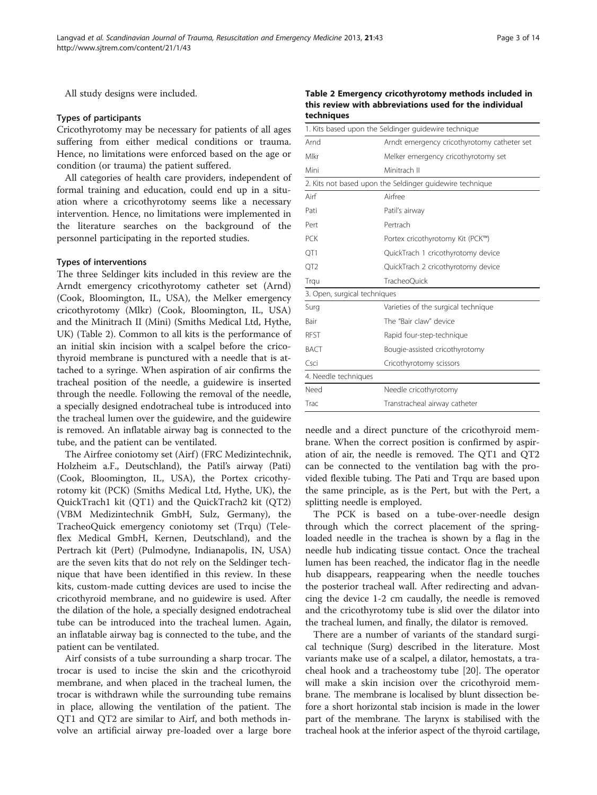All study designs were included.

#### Types of participants

Cricothyrotomy may be necessary for patients of all ages suffering from either medical conditions or trauma. Hence, no limitations were enforced based on the age or condition (or trauma) the patient suffered.

All categories of health care providers, independent of formal training and education, could end up in a situation where a cricothyrotomy seems like a necessary intervention. Hence, no limitations were implemented in the literature searches on the background of the personnel participating in the reported studies.

#### Types of interventions

The three Seldinger kits included in this review are the Arndt emergency cricothyrotomy catheter set (Arnd) (Cook, Bloomington, IL, USA), the Melker emergency cricothyrotomy (Mlkr) (Cook, Bloomington, IL, USA) and the Minitrach II (Mini) (Smiths Medical Ltd, Hythe, UK) (Table 2). Common to all kits is the performance of an initial skin incision with a scalpel before the cricothyroid membrane is punctured with a needle that is attached to a syringe. When aspiration of air confirms the tracheal position of the needle, a guidewire is inserted through the needle. Following the removal of the needle, a specially designed endotracheal tube is introduced into the tracheal lumen over the guidewire, and the guidewire is removed. An inflatable airway bag is connected to the tube, and the patient can be ventilated.

The Airfree coniotomy set (Airf) (FRC Medizintechnik, Holzheim a.F., Deutschland), the Patil's airway (Pati) (Cook, Bloomington, IL, USA), the Portex cricothyrotomy kit (PCK) (Smiths Medical Ltd, Hythe, UK), the QuickTrach1 kit (QT1) and the QuickTrach2 kit (QT2) (VBM Medizintechnik GmbH, Sulz, Germany), the TracheoQuick emergency coniotomy set (Trqu) (Teleflex Medical GmbH, Kernen, Deutschland), and the Pertrach kit (Pert) (Pulmodyne, Indianapolis, IN, USA) are the seven kits that do not rely on the Seldinger technique that have been identified in this review. In these kits, custom-made cutting devices are used to incise the cricothyroid membrane, and no guidewire is used. After the dilation of the hole, a specially designed endotracheal tube can be introduced into the tracheal lumen. Again, an inflatable airway bag is connected to the tube, and the patient can be ventilated.

Airf consists of a tube surrounding a sharp trocar. The trocar is used to incise the skin and the cricothyroid membrane, and when placed in the tracheal lumen, the trocar is withdrawn while the surrounding tube remains in place, allowing the ventilation of the patient. The QT1 and QT2 are similar to Airf, and both methods involve an artificial airway pre-loaded over a large bore

| Table 2 Emergency cricothyrotomy methods included in   |
|--------------------------------------------------------|
| this review with abbreviations used for the individual |
| techniques                                             |

|                              | 1. Kits based upon the Seldinger guidewire technique     |
|------------------------------|----------------------------------------------------------|
| Arnd                         | Arndt emergency cricothyrotomy catheter set              |
| Mlkr                         | Melker emergency cricothyrotomy set                      |
| Mini                         | Minitrach II                                             |
|                              | 2. Kits not based upon the Seldinger guidewire technique |
| Airf                         | Airfree                                                  |
| Pati                         | Patil's airway                                           |
| Pert                         | Pertrach                                                 |
| <b>PCK</b>                   | Portex cricothyrotomy Kit (PCK™)                         |
| QT1                          | QuickTrach 1 cricothyrotomy device                       |
| OT <sub>2</sub>              | QuickTrach 2 cricothyrotomy device                       |
| Trqu                         | <b>TracheoOuick</b>                                      |
| 3. Open, surgical techniques |                                                          |
| Surg                         | Varieties of the surgical technique                      |
| Bair                         | The "Bair claw" device                                   |
| <b>REST</b>                  | Rapid four-step-technique                                |
| <b>BACT</b>                  | Bougie-assisted cricothyrotomy                           |
| Csci                         | Cricothyrotomy scissors                                  |
| 4. Needle techniques         |                                                          |
| Need                         | Needle cricothyrotomy                                    |
| Trac                         | Transtracheal airway catheter                            |

needle and a direct puncture of the cricothyroid membrane. When the correct position is confirmed by aspiration of air, the needle is removed. The QT1 and QT2 can be connected to the ventilation bag with the provided flexible tubing. The Pati and Trqu are based upon the same principle, as is the Pert, but with the Pert, a splitting needle is employed.

The PCK is based on a tube-over-needle design through which the correct placement of the springloaded needle in the trachea is shown by a flag in the needle hub indicating tissue contact. Once the tracheal lumen has been reached, the indicator flag in the needle hub disappears, reappearing when the needle touches the posterior tracheal wall. After redirecting and advancing the device 1-2 cm caudally, the needle is removed and the cricothyrotomy tube is slid over the dilator into the tracheal lumen, and finally, the dilator is removed.

There are a number of variants of the standard surgical technique (Surg) described in the literature. Most variants make use of a scalpel, a dilator, hemostats, a tracheal hook and a tracheostomy tube [[20\]](#page-13-0). The operator will make a skin incision over the cricothyroid membrane. The membrane is localised by blunt dissection before a short horizontal stab incision is made in the lower part of the membrane. The larynx is stabilised with the tracheal hook at the inferior aspect of the thyroid cartilage,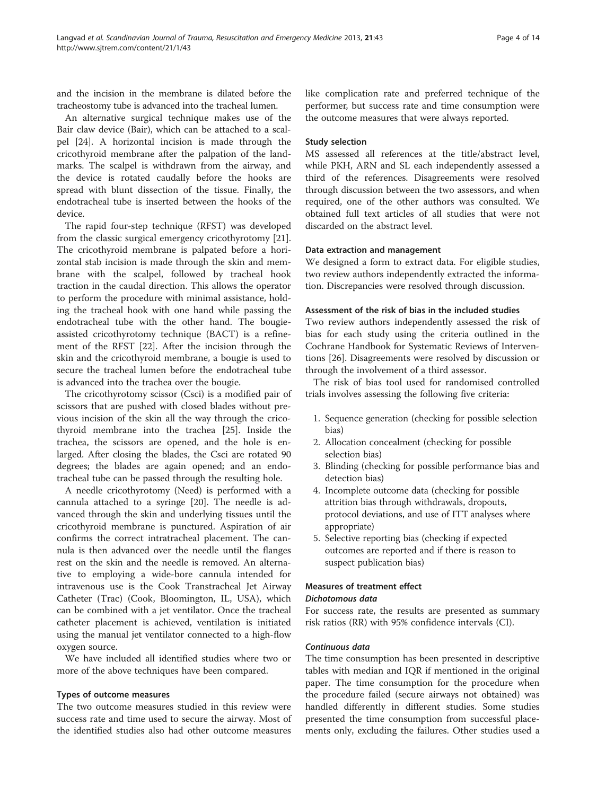and the incision in the membrane is dilated before the tracheostomy tube is advanced into the tracheal lumen.

An alternative surgical technique makes use of the Bair claw device (Bair), which can be attached to a scalpel [\[24\]](#page-13-0). A horizontal incision is made through the cricothyroid membrane after the palpation of the landmarks. The scalpel is withdrawn from the airway, and the device is rotated caudally before the hooks are spread with blunt dissection of the tissue. Finally, the endotracheal tube is inserted between the hooks of the device.

The rapid four-step technique (RFST) was developed from the classic surgical emergency cricothyrotomy [\[21](#page-13-0)]. The cricothyroid membrane is palpated before a horizontal stab incision is made through the skin and membrane with the scalpel, followed by tracheal hook traction in the caudal direction. This allows the operator to perform the procedure with minimal assistance, holding the tracheal hook with one hand while passing the endotracheal tube with the other hand. The bougieassisted cricothyrotomy technique (BACT) is a refinement of the RFST [\[22\]](#page-13-0). After the incision through the skin and the cricothyroid membrane, a bougie is used to secure the tracheal lumen before the endotracheal tube is advanced into the trachea over the bougie.

The cricothyrotomy scissor (Csci) is a modified pair of scissors that are pushed with closed blades without previous incision of the skin all the way through the cricothyroid membrane into the trachea [[25\]](#page-13-0). Inside the trachea, the scissors are opened, and the hole is enlarged. After closing the blades, the Csci are rotated 90 degrees; the blades are again opened; and an endotracheal tube can be passed through the resulting hole.

A needle cricothyrotomy (Need) is performed with a cannula attached to a syringe [\[20\]](#page-13-0). The needle is advanced through the skin and underlying tissues until the cricothyroid membrane is punctured. Aspiration of air confirms the correct intratracheal placement. The cannula is then advanced over the needle until the flanges rest on the skin and the needle is removed. An alternative to employing a wide-bore cannula intended for intravenous use is the Cook Transtracheal Jet Airway Catheter (Trac) (Cook, Bloomington, IL, USA), which can be combined with a jet ventilator. Once the tracheal catheter placement is achieved, ventilation is initiated using the manual jet ventilator connected to a high-flow oxygen source.

We have included all identified studies where two or more of the above techniques have been compared.

#### Types of outcome measures

The two outcome measures studied in this review were success rate and time used to secure the airway. Most of the identified studies also had other outcome measures like complication rate and preferred technique of the performer, but success rate and time consumption were the outcome measures that were always reported.

#### Study selection

MS assessed all references at the title/abstract level, while PKH, ARN and SL each independently assessed a third of the references. Disagreements were resolved through discussion between the two assessors, and when required, one of the other authors was consulted. We obtained full text articles of all studies that were not discarded on the abstract level.

### Data extraction and management

We designed a form to extract data. For eligible studies, two review authors independently extracted the information. Discrepancies were resolved through discussion.

#### Assessment of the risk of bias in the included studies

Two review authors independently assessed the risk of bias for each study using the criteria outlined in the Cochrane Handbook for Systematic Reviews of Interventions [\[26\]](#page-13-0). Disagreements were resolved by discussion or through the involvement of a third assessor.

The risk of bias tool used for randomised controlled trials involves assessing the following five criteria:

- 1. Sequence generation (checking for possible selection bias)
- 2. Allocation concealment (checking for possible selection bias)
- 3. Blinding (checking for possible performance bias and detection bias)
- 4. Incomplete outcome data (checking for possible attrition bias through withdrawals, dropouts, protocol deviations, and use of ITT analyses where appropriate)
- 5. Selective reporting bias (checking if expected outcomes are reported and if there is reason to suspect publication bias)

#### Measures of treatment effect

#### Dichotomous data

For success rate, the results are presented as summary risk ratios (RR) with 95% confidence intervals (CI).

#### Continuous data

The time consumption has been presented in descriptive tables with median and IQR if mentioned in the original paper. The time consumption for the procedure when the procedure failed (secure airways not obtained) was handled differently in different studies. Some studies presented the time consumption from successful placements only, excluding the failures. Other studies used a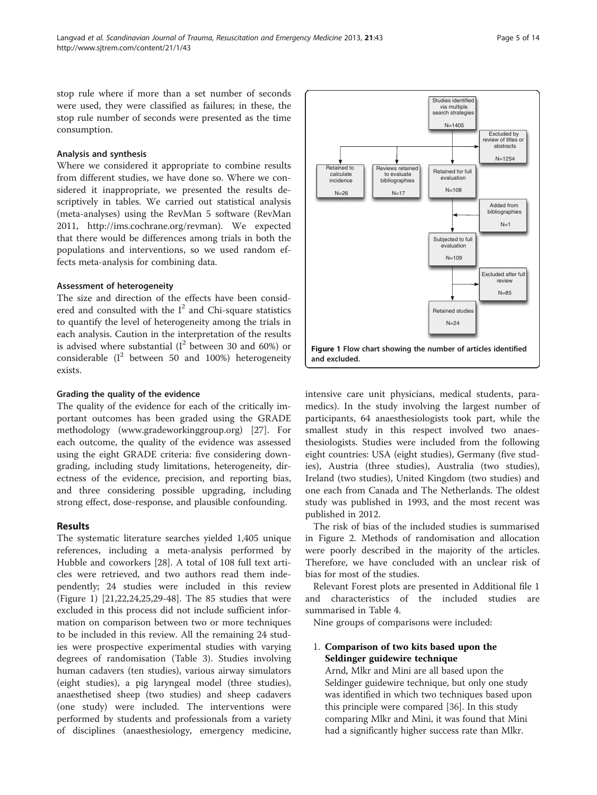stop rule where if more than a set number of seconds were used, they were classified as failures; in these, the stop rule number of seconds were presented as the time consumption.

#### Analysis and synthesis

Where we considered it appropriate to combine results from different studies, we have done so. Where we considered it inappropriate, we presented the results descriptively in tables. We carried out statistical analysis (meta-analyses) using the RevMan 5 software (RevMan 2011,<http://ims.cochrane.org/revman>). We expected that there would be differences among trials in both the populations and interventions, so we used random effects meta-analysis for combining data.

#### Assessment of heterogeneity

The size and direction of the effects have been considered and consulted with the  $I^2$  and Chi-square statistics to quantify the level of heterogeneity among the trials in each analysis. Caution in the interpretation of the results is advised where substantial  $(I^2)$  between 30 and 60%) or considerable  $(I^2)$  between 50 and 100%) heterogeneity exists.

#### Grading the quality of the evidence

The quality of the evidence for each of the critically important outcomes has been graded using the GRADE methodology [\(www.gradeworkinggroup.org\)](http://www.gradeworkinggroup.org) [\[27](#page-13-0)]. For each outcome, the quality of the evidence was assessed using the eight GRADE criteria: five considering downgrading, including study limitations, heterogeneity, directness of the evidence, precision, and reporting bias, and three considering possible upgrading, including strong effect, dose-response, and plausible confounding.

#### Results

The systematic literature searches yielded 1,405 unique references, including a meta-analysis performed by Hubble and coworkers [\[28\]](#page-13-0). A total of 108 full text articles were retrieved, and two authors read them independently; 24 studies were included in this review (Figure 1) [[21,22,24,25,29-48\]](#page-13-0). The 85 studies that were excluded in this process did not include sufficient information on comparison between two or more techniques to be included in this review. All the remaining 24 studies were prospective experimental studies with varying degrees of randomisation (Table [3](#page-5-0)). Studies involving human cadavers (ten studies), various airway simulators (eight studies), a pig laryngeal model (three studies), anaesthetised sheep (two studies) and sheep cadavers (one study) were included. The interventions were performed by students and professionals from a variety of disciplines (anaesthesiology, emergency medicine,



intensive care unit physicians, medical students, paramedics). In the study involving the largest number of participants, 64 anaesthesiologists took part, while the smallest study in this respect involved two anaesthesiologists. Studies were included from the following eight countries: USA (eight studies), Germany (five studies), Austria (three studies), Australia (two studies), Ireland (two studies), United Kingdom (two studies) and one each from Canada and The Netherlands. The oldest study was published in 1993, and the most recent was published in 2012.

The risk of bias of the included studies is summarised in Figure [2](#page-6-0). Methods of randomisation and allocation were poorly described in the majority of the articles. Therefore, we have concluded with an unclear risk of bias for most of the studies.

Relevant Forest plots are presented in Additional file [1](#page-12-0) and characteristics of the included studies are summarised in Table [4](#page-7-0).

Nine groups of comparisons were included:

## 1. Comparison of two kits based upon the Seldinger guidewire technique

Arnd, Mlkr and Mini are all based upon the Seldinger guidewire technique, but only one study was identified in which two techniques based upon this principle were compared [\[36\]](#page-13-0). In this study comparing Mlkr and Mini, it was found that Mini had a significantly higher success rate than Mlkr.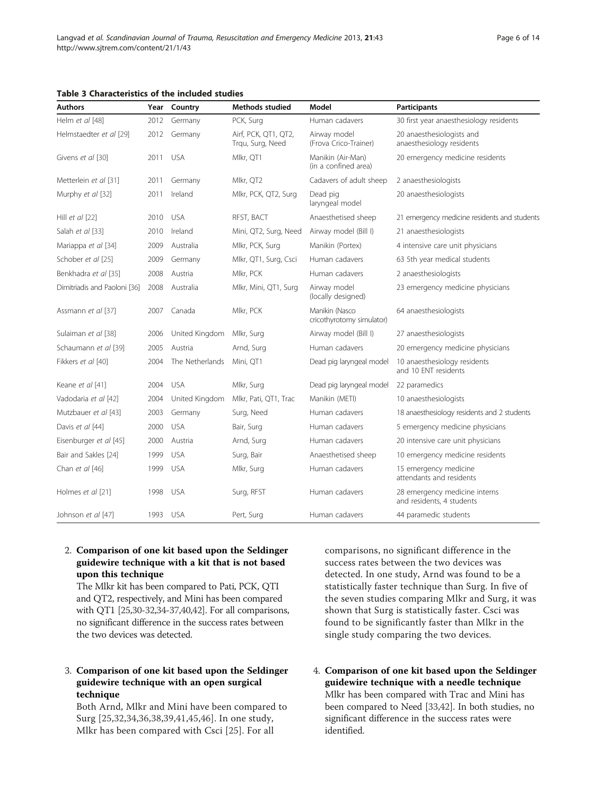<span id="page-5-0"></span>Table 3 Characteristics of the included studies

| <b>Authors</b>               | Year | Country         | <b>Methods studied</b>                   | Model                                       | Participants                                               |
|------------------------------|------|-----------------|------------------------------------------|---------------------------------------------|------------------------------------------------------------|
| Helm et al [48]              | 2012 | Germany         | PCK, Surg                                | Human cadavers                              | 30 first year anaesthesiology residents                    |
| Helmstaedter et al [29]      | 2012 | Germany         | Airf, PCK, QT1, QT2,<br>Trqu, Surg, Need | Airway model<br>(Frova Crico-Trainer)       | 20 anaesthesiologists and<br>anaesthesiology residents     |
| Givens et al [30]            | 2011 | <b>USA</b>      | Mlkr, QT1                                | Manikin (Air-Man)<br>(in a confined area)   | 20 emergency medicine residents                            |
| Metterlein et al [31]        | 2011 | Germany         | Mlkr, QT2                                | Cadavers of adult sheep                     | 2 anaesthesiologists                                       |
| Murphy et al [32]            | 2011 | Ireland         | Mlkr, PCK, QT2, Surg                     | Dead pig<br>laryngeal model                 | 20 anaesthesiologists                                      |
| Hill et al $[22]$            | 2010 | <b>USA</b>      | RFST, BACT                               | Anaesthetised sheep                         | 21 emergency medicine residents and students               |
| Salah et al [33]             | 2010 | Ireland         | Mini, QT2, Surg, Need                    | Airway model (Bill I)                       | 21 anaesthesiologists                                      |
| Mariappa et al [34]          | 2009 | Australia       | Mlkr, PCK, Surg                          | Manikin (Portex)                            | 4 intensive care unit physicians                           |
| Schober et al [25]           | 2009 | Germany         | Mlkr, QT1, Surg, Csci                    | Human cadavers                              | 63 5th year medical students                               |
| Benkhadra et al [35]         | 2008 | Austria         | Mlkr, PCK                                | Human cadavers                              | 2 anaesthesiologists                                       |
| Dimitriadis and Paoloni [36] | 2008 | Australia       | Mlkr, Mini, QT1, Surg                    | Airway model<br>(locally designed)          | 23 emergency medicine physicians                           |
| Assmann et al [37]           | 2007 | Canada          | Mlkr, PCK                                | Manikin (Nasco<br>cricothyrotomy simulator) | 64 anaesthesiologists                                      |
| Sulaiman et al [38]          | 2006 | United Kingdom  | Mlkr, Surg                               | Airway model (Bill I)                       | 27 anaesthesiologists                                      |
| Schaumann et al [39]         | 2005 | Austria         | Arnd, Surg                               | Human cadavers                              | 20 emergency medicine physicians                           |
| Fikkers et al [40]           | 2004 | The Netherlands | Mini, QT1                                | Dead pig laryngeal model                    | 10 anaesthesiology residents<br>and 10 ENT residents       |
| Keane et al [41]             | 2004 | <b>USA</b>      | Mlkr, Surg                               | Dead pig laryngeal model                    | 22 paramedics                                              |
| Vadodaria et al [42]         | 2004 | United Kingdom  | Mlkr, Pati, QT1, Trac                    | Manikin (METI)                              | 10 anaesthesiologists                                      |
| Mutzbauer et al [43]         | 2003 | Germany         | Surg, Need                               | Human cadavers                              | 18 anaesthesiology residents and 2 students                |
| Davis et al [44]             | 2000 | <b>USA</b>      | Bair, Surg                               | Human cadavers                              | 5 emergency medicine physicians                            |
| Eisenburger et al [45]       | 2000 | Austria         | Arnd, Surg                               | Human cadavers                              | 20 intensive care unit physicians                          |
| Bair and Sakles [24]         | 1999 | <b>USA</b>      | Surg, Bair                               | Anaesthetised sheep                         | 10 emergency medicine residents                            |
| Chan et al [46]              | 1999 | <b>USA</b>      | Mlkr, Surg                               | Human cadavers                              | 15 emergency medicine<br>attendants and residents          |
| Holmes et al [21]            | 1998 | <b>USA</b>      | Surg, RFST                               | Human cadavers                              | 28 emergency medicine interns<br>and residents, 4 students |
| Johnson et al [47]           | 1993 | <b>USA</b>      | Pert, Surg                               | Human cadavers                              | 44 paramedic students                                      |

2. Comparison of one kit based upon the Seldinger guidewire technique with a kit that is not based upon this technique

The Mlkr kit has been compared to Pati, PCK, QTI and QT2, respectively, and Mini has been compared with QT1 [[25,30-32,34-37,40,42\]](#page-13-0). For all comparisons, no significant difference in the success rates between the two devices was detected.

## 3. Comparison of one kit based upon the Seldinger guidewire technique with an open surgical technique

Both Arnd, Mlkr and Mini have been compared to Surg [[25,32,34](#page-13-0),[36,38,39](#page-13-0),[41,45,46](#page-13-0)]. In one study, Mlkr has been compared with Csci [[25](#page-13-0)]. For all

comparisons, no significant difference in the success rates between the two devices was detected. In one study, Arnd was found to be a statistically faster technique than Surg. In five of the seven studies comparing Mlkr and Surg, it was shown that Surg is statistically faster. Csci was found to be significantly faster than Mlkr in the single study comparing the two devices.

## 4. Comparison of one kit based upon the Seldinger guidewire technique with a needle technique Mlkr has been compared with Trac and Mini has been compared to Need [[33,42\]](#page-13-0). In both studies, no significant difference in the success rates were identified.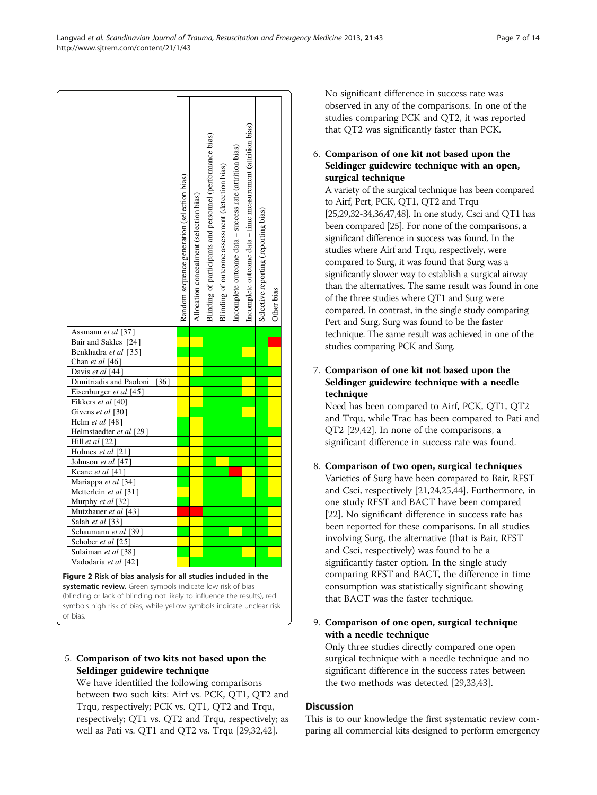$\overline{\phantom{a}}$ 

 $\top$ 

 $\blacksquare$ 

<span id="page-6-0"></span>

|                                                        | Random sequence generation (selection bias) | Allocation concealment (selection bias) | Blinding of participants and personnel (performance bias) | Blinding of outcome assessment (detection bias) | Incomplete outcome data – success rate (attrition bias) | Incomplete outcome data – time measurement (attrition bias) | Selective reporting (reporting bias) | Other bias        |
|--------------------------------------------------------|---------------------------------------------|-----------------------------------------|-----------------------------------------------------------|-------------------------------------------------|---------------------------------------------------------|-------------------------------------------------------------|--------------------------------------|-------------------|
| Assmann et al [37]                                     |                                             |                                         |                                                           |                                                 |                                                         |                                                             |                                      |                   |
| <b>Bair and Sakles</b><br>[24]<br>Benkhadra et al [35] |                                             |                                         |                                                           |                                                 |                                                         |                                                             |                                      | <b>CONTRACTOR</b> |
| Chan et al [46]                                        |                                             |                                         |                                                           |                                                 |                                                         |                                                             |                                      |                   |
| Davis et al [44]                                       |                                             |                                         |                                                           |                                                 |                                                         |                                                             |                                      |                   |
| Dimitriadis and Paoloni<br>$[36]$                      |                                             |                                         |                                                           |                                                 |                                                         |                                                             |                                      |                   |
| Eisenburger et al [45]                                 |                                             |                                         |                                                           |                                                 |                                                         |                                                             |                                      |                   |
| Fikkers et al [40]                                     |                                             |                                         |                                                           |                                                 |                                                         |                                                             |                                      |                   |
| Givens et al [30]                                      |                                             |                                         |                                                           |                                                 |                                                         |                                                             |                                      |                   |
| Helm et al [48]                                        |                                             |                                         |                                                           |                                                 |                                                         |                                                             |                                      |                   |
| Helmstaedter et al [29]                                |                                             |                                         |                                                           |                                                 |                                                         |                                                             |                                      |                   |
| Hill et al $[22]$                                      |                                             |                                         |                                                           |                                                 |                                                         |                                                             |                                      |                   |
| Holmes et al [21]                                      |                                             |                                         |                                                           |                                                 |                                                         |                                                             |                                      |                   |
| Johnson et al [47]                                     |                                             |                                         |                                                           |                                                 |                                                         |                                                             |                                      |                   |
| Keane et al [41]                                       |                                             |                                         |                                                           |                                                 |                                                         |                                                             |                                      |                   |
| Mariappa et al [34]<br>Metterlein et al [31]           |                                             |                                         |                                                           |                                                 |                                                         |                                                             |                                      |                   |
| Murphy et al [32]                                      |                                             |                                         |                                                           |                                                 |                                                         |                                                             |                                      |                   |
| Mutzbauer et al [43]                                   |                                             |                                         |                                                           |                                                 |                                                         |                                                             |                                      |                   |
| Salah et al [33]                                       |                                             |                                         |                                                           |                                                 |                                                         |                                                             |                                      |                   |
| Schaumann et al [39]                                   |                                             |                                         |                                                           |                                                 |                                                         |                                                             |                                      |                   |
| Schober et al [25]                                     |                                             |                                         |                                                           |                                                 |                                                         |                                                             |                                      |                   |
| Sulaiman et al [38]                                    |                                             |                                         |                                                           |                                                 |                                                         |                                                             |                                      |                   |
| Vadodaria et al [42]                                   |                                             |                                         |                                                           |                                                 |                                                         |                                                             |                                      |                   |

systematic review. Green symbols indicate low risk of bias (blinding or lack of blinding not likely to influence the results), red symbols high risk of bias, while yellow symbols indicate unclear risk of bias.

## 5. Comparison of two kits not based upon the Seldinger guidewire technique

We have identified the following comparisons between two such kits: Airf vs. PCK, QT1, QT2 and Trqu, respectively; PCK vs. QT1, QT2 and Trqu, respectively; QT1 vs. QT2 and Trqu, respectively; as well as Pati vs. QT1 and QT2 vs. Trqu [[29](#page-13-0),[32,42\]](#page-13-0).

No significant difference in success rate was observed in any of the comparisons. In one of the studies comparing PCK and QT2, it was reported that QT2 was significantly faster than PCK.

6. Comparison of one kit not based upon the Seldinger guidewire technique with an open, surgical technique

A variety of the surgical technique has been compared to Airf, Pert, PCK, QT1, QT2 and Trqu [\[25,29,32-34,36,47,48\]](#page-13-0). In one study, Csci and QT1 has been compared [\[25](#page-13-0)]. For none of the comparisons, a significant difference in success was found. In the studies where Airf and Trqu, respectively, were compared to Surg, it was found that Surg was a significantly slower way to establish a surgical airway than the alternatives. The same result was found in one of the three studies where QT1 and Surg were compared. In contrast, in the single study comparing Pert and Surg, Surg was found to be the faster technique. The same result was achieved in one of the studies comparing PCK and Surg.

## 7. Comparison of one kit not based upon the Seldinger guidewire technique with a needle technique

Need has been compared to Airf, PCK, QT1, QT2 and Trqu, while Trac has been compared to Pati and QT2 [\[29,42\]](#page-13-0). In none of the comparisons, a significant difference in success rate was found.

8. Comparison of two open, surgical techniques Varieties of Surg have been compared to Bair, RFST and Csci, respectively [\[21,24,25,44](#page-13-0)]. Furthermore, in one study RFST and BACT have been compared [[22](#page-13-0)]. No significant difference in success rate has been reported for these comparisons. In all studies involving Surg, the alternative (that is Bair, RFST and Csci, respectively) was found to be a significantly faster option. In the single study comparing RFST and BACT, the difference in time consumption was statistically significant showing that BACT was the faster technique.

## 9. Comparison of one open, surgical technique with a needle technique

Only three studies directly compared one open surgical technique with a needle technique and no significant difference in the success rates between the two methods was detected [[29,33,43\]](#page-13-0).

## **Discussion**

This is to our knowledge the first systematic review comparing all commercial kits designed to perform emergency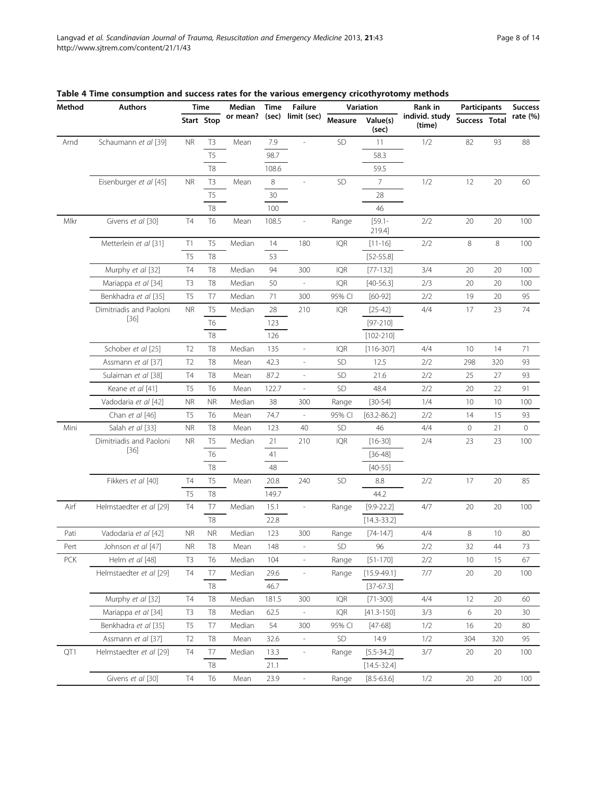| Method     | <b>Authors</b>          | <b>Time</b>    |                | Median   | Time  | <b>Failure</b>           | Variation  |                     | Rank in                  | <b>Participants</b> |     | <b>Success</b> |
|------------|-------------------------|----------------|----------------|----------|-------|--------------------------|------------|---------------------|--------------------------|---------------------|-----|----------------|
|            |                         | Start Stop     |                | or mean? | (sec) | limit (sec)              | Measure    | Value(s)<br>(sec)   | individ. study<br>(time) | Success Total       |     | rate (%)       |
| Arnd       | Schaumann et al [39]    | <b>NR</b>      | T <sub>3</sub> | Mean     | 7.9   | L,                       | SD         | 11                  | 1/2                      | 82                  | 93  | 88             |
|            |                         |                | T <sub>5</sub> |          | 98.7  |                          |            | 58.3                |                          |                     |     |                |
|            |                         |                | T <sub>8</sub> |          | 108.6 |                          |            | 59.5                |                          |                     |     |                |
|            | Eisenburger et al [45]  | <b>NR</b>      | T <sub>3</sub> | Mean     | 8     |                          | SD         | $\overline{7}$      | 1/2                      | 12                  | 20  | 60             |
|            |                         |                | T <sub>5</sub> |          | 30    |                          |            | 28                  |                          |                     |     |                |
|            |                         |                | T <sub>8</sub> |          | 100   |                          |            | 46                  |                          |                     |     |                |
| Mlkr       | Givens et al [30]       | T4             | T <sub>6</sub> | Mean     | 108.5 | $\overline{\phantom{a}}$ | Range      | $[59.1 -$<br>219.4] | 2/2                      | 20                  | 20  | 100            |
|            | Metterlein et al [31]   | T1             | T <sub>5</sub> | Median   | 14    | 180                      | IQR        | $[11 - 16]$         | 2/2                      | 8                   | 8   | 100            |
|            |                         | T <sub>5</sub> | T <sub>8</sub> |          | 53    |                          |            | $[52 - 55.8]$       |                          |                     |     |                |
|            | Murphy et al [32]       | T4             | T <sub>8</sub> | Median   | 94    | 300                      | <b>IQR</b> | $[77-132]$          | 3/4                      | 20                  | 20  | 100            |
|            | Mariappa et al [34]     | T <sub>3</sub> | T <sub>8</sub> | Median   | 50    |                          | <b>IQR</b> | $[40 - 56.3]$       | 2/3                      | 20                  | 20  | 100            |
|            | Benkhadra et al [35]    | T <sub>5</sub> | T7             | Median   | 71    | 300                      | 95% CI     | $[60-92]$           | 2/2                      | 19                  | 20  | 95             |
|            | Dimitriadis and Paoloni | <b>NR</b>      | T <sub>5</sub> | Median   | 28    | 210                      | IQR        | $[25-42]$           | 4/4                      | 17                  | 23  | 74             |
|            | $[36]$                  |                | T <sub>6</sub> |          | 123   |                          |            | $[97 - 210]$        |                          |                     |     |                |
|            |                         |                | T8             |          | 126   |                          |            | $[102 - 210]$       |                          |                     |     |                |
|            | Schober et al [25]      | T <sub>2</sub> | T8             | Median   | 135   |                          | <b>IQR</b> | $[116 - 307]$       | 4/4                      | 10                  | 14  | 71             |
|            | Assmann et al [37]      | T <sub>2</sub> | T <sub>8</sub> | Mean     | 42.3  | $\qquad \qquad -$        | SD         | 12.5                | 2/2                      | 298                 | 320 | 93             |
|            | Sulaiman et al [38]     | Τ4             | T <sub>8</sub> | Mean     | 87.2  | $\overline{\phantom{a}}$ | <b>SD</b>  | 21.6                | 2/2                      | 25                  | 27  | 93             |
|            | Keane et al [41]        | T <sub>5</sub> | T <sub>6</sub> | Mean     | 122.7 | $\overline{\phantom{a}}$ | SD         | 48.4                | 2/2                      | 20                  | 22  | 91             |
|            | Vadodaria et al [42]    | <b>NR</b>      | <b>NR</b>      | Median   | 38    | 300                      | Range      | $[30 - 54]$         | 1/4                      | 10                  | 10  | 100            |
|            | Chan et al [46]         | T <sub>5</sub> | T <sub>6</sub> | Mean     | 74.7  |                          | 95% CI     | $[63.2 - 86.2]$     | 2/2                      | 14                  | 15  | 93             |
| Mini       | Salah et al [33]        | <b>NR</b>      | T <sub>8</sub> | Mean     | 123   | 40                       | SD         | 46                  | 4/4                      | $\circ$             | 21  | $\circ$        |
|            | Dimitriadis and Paoloni | <b>NR</b>      | T <sub>5</sub> | Median   | 21    | 210                      | <b>IQR</b> | $[16 - 30]$         | 2/4                      | 23                  | 23  | 100            |
|            | $[36]$                  |                | T6             |          | 41    |                          |            | $[36 - 48]$         |                          |                     |     |                |
|            |                         |                | T <sub>8</sub> |          | 48    |                          |            | $[40 - 55]$         |                          |                     |     |                |
|            | Fikkers et al [40]      | <b>T4</b>      | T <sub>5</sub> | Mean     | 20.8  | 240                      | SD         | 8.8                 | 2/2                      | 17                  | 20  | 85             |
|            |                         | T <sub>5</sub> | T <sub>8</sub> |          | 149.7 |                          |            | 44.2                |                          |                     |     |                |
| Airf       | Helmstaedter et al [29] | <b>T4</b>      | T7             | Median   | 15.1  | $\overline{\phantom{a}}$ | Range      | $[9.9 - 22.2]$      | 4/7                      | 20                  | 20  | 100            |
|            |                         |                | T8             |          | 22.8  |                          |            | $[14.3 - 33.2]$     |                          |                     |     |                |
| Pati       | Vadodaria et al [42]    | <b>NR</b>      | <b>NR</b>      | Median   | 123   | 300                      | Range      | $[74 - 147]$        | 4/4                      | 8                   | 10  | 80             |
| Pert       | Johnson et al [47]      | $\sf NR$       | T8             | Mean     | 148   |                          | SD         | 96                  | $2/2$                    | 32                  | 44  | 73             |
| <b>PCK</b> | Helm et al [48]         | T <sub>3</sub> | T6             | Median   | 104   | $\overline{\phantom{a}}$ | Range      | $[51 - 170]$        | 2/2                      | 10                  | 15  | 67             |
|            | Helmstaedter et al [29] | <b>T4</b>      | T7             | Median   | 29.6  |                          | Range      | $[15.9 - 49.1]$     | 7/7                      | 20                  | 20  | 100            |
|            |                         |                | T8             |          | 46.7  |                          |            | $[37-67.3]$         |                          |                     |     |                |
|            | Murphy et al [32]       | T <sub>4</sub> | T <sub>8</sub> | Median   | 181.5 | 300                      | IQR        | $[71 - 300]$        | 4/4                      | 12                  | 20  | 60             |
|            | Mariappa et al [34]     | T <sub>3</sub> | T <sub>8</sub> | Median   | 62.5  | $\overline{\phantom{a}}$ | <b>IQR</b> | $[41.3 - 150]$      | 3/3                      | 6                   | 20  | 30             |
|            | Benkhadra et al [35]    | T <sub>5</sub> | T7             | Median   | 54    | 300                      | 95% CI     | $[47 - 68]$         | 1/2                      | 16                  | 20  | 80             |
|            | Assmann et al [37]      | T <sub>2</sub> | T8             | Mean     | 32.6  |                          | SD         | 14.9                | 1/2                      | 304                 | 320 | 95             |
| QT1        | Helmstaedter et al [29] | <b>T4</b>      | T7             | Median   | 13.3  |                          | Range      | $[5.5 - 34.2]$      | 3/7                      | 20                  | 20  | 100            |
|            |                         |                | T8             |          | 21.1  |                          |            | $[14.5 - 32.4]$     |                          |                     |     |                |

Givens et al [\[30](#page-13-0)] T4 T6 Mean 23.9 - Range [8.5-63.6] 1/2 20 20 100

#### <span id="page-7-0"></span>Table 4 Time consumption and success rates for the various emergency cricothyrotomy methods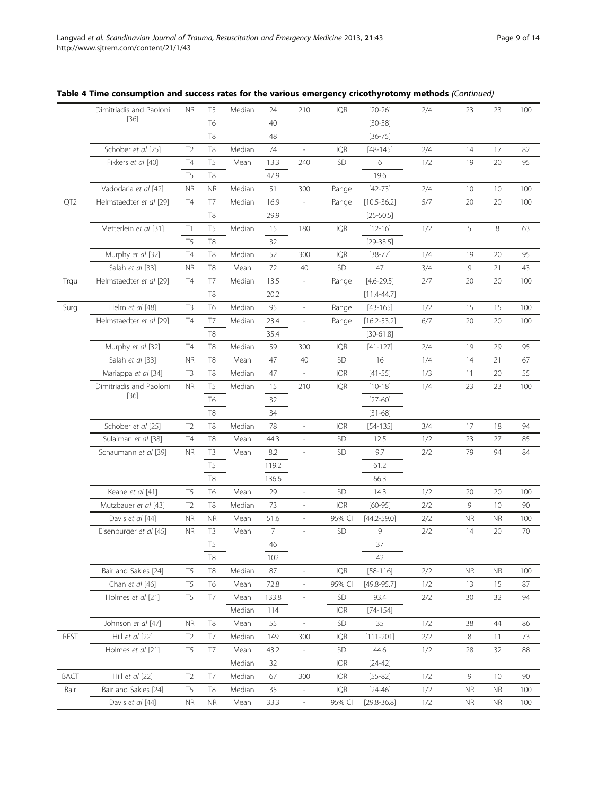## Dimitriadis and Paoloni [[36](#page-13-0)] NR T5 Median 24 210 IQR [20-26] 2/4 23 23 100 T6 40 [30-58] T8 48 [36-75] Schober et al [[25\]](#page-13-0) T2 T8 Median 74 - IQR [48-145] 2/4 14 17 82 Fikkers et al [\[40](#page-13-0)] T4 T5 Mean 13.3 240 SD 6 1/2 19 20 95 T5 T8 47.9 19.6 Vadodaria et al [[42](#page-13-0)] NR NR Median 51 300 Range [42-73] 2/4 10 10 100 QT2 Helmstaedter et al [\[29\]](#page-13-0) T4 T7 Median 16.9 - Range [10.5-36.2] 5/7 20 20 100 T8 29.9 [25-50.5] Metterlein et al [\[31\]](#page-13-0) T1 T5 Median 15 180 IQR [12-16] 1/2 5 8 63 T5 T8 32 [29-33.5] Murphy et al [\[32\]](#page-13-0) T4 T8 Median 52 300 IQR [38-77] 1/4 19 20 95 Salah et al [\[33\]](#page-13-0) NR T8 Mean 72 40 SD 47 3/4 9 21 43 Trqu Helmstaedter et al [\[29\]](#page-13-0) T4 T7 Median 13.5 - Range [4.6-29.5] 2/7 20 20 100 T8 20.2 [11.4-44.7] Surg Helm et al [\[48\]](#page-13-0) T3 T6 Median 95 - Range [43-165] 1/2 15 15 100 Helmstaedter et al [\[29\]](#page-13-0) T4 T7 Median 23.4 - Range [16.2-53.2] 6/7 20 20 100 T8 35.4 [30-61.8] Murphy et al [\[32\]](#page-13-0) T4 T8 Median 59 300 IQR [41-127] 2/4 19 29 95 Salah et al [\[33\]](#page-13-0) NR T8 Mean 47 40 SD 16 1/4 14 21 67 Mariappa et al [[34](#page-13-0)] T3 T8 Median 47 - IQR [41-55] 1/3 11 20 55 Dimitriadis and Paoloni [[36](#page-13-0)] NR T5 Median 15 210 IQR [10-18] 1/4 23 23 100 T6 32 [27-60] T8 34 [31-68] Schober et al [[25\]](#page-13-0) T2 T8 Median 78 - IQR [54-135] 3/4 17 18 94 Sulaiman et al [\[38\]](#page-13-0) T4 T8 Mean 44.3 - SD 12.5 1/2 23 27 85 Schaumann et al [[39](#page-13-0)] NR T3 Mean 8.2 - SD 9.7 2/2 79 94 84 T5 119.2 61.2 T8 136.6 66.3 Keane et al [[41](#page-13-0)] T5 T6 Mean 29 - SD 14.3 1/2 20 20 100 Mutzbauer et al [[43\]](#page-13-0) T2 T8 Median 73 - IQR [60-95] 2/2 9 10 90 Davis et al [\[44\]](#page-13-0) NR NR Mean 51.6 - 95% CI [44.2-59.0] 2/2 NR NR 100 Eisenburger et al [[45](#page-13-0)] NR T3 Mean 7 - SD 9 2/2 14 20 70 T5 46 37 T8 102 42 Bair and Sakles [[24](#page-13-0)] T5 T8 Median 87 - IQR [58-116] 2/2 NR NR 100 Chan et al [\[46\]](#page-13-0) T5 T6 Mean 72.8 - 95% CI [49.8-95.7] 1/2 13 15 87 Holmes et al [[21\]](#page-13-0) T5 T7 Mean 133.8 - SD 93.4 2/2 30 32 94 Median 114 IQR [74-154] Johnson et al [\[47\]](#page-13-0) NR T8 Mean 55 - SD 35 1/2 38 44 86 RFST Hill et al [[22\]](#page-13-0) T2 T7 Median 149 300 IQR [111-201] 2/2 8 11 73 Holmes et al [[21\]](#page-13-0) T5 T7 Mean 43.2 - SD 44.6 1/2 28 32 88 Median 32 IQR [24-42] BACT Hill et al [[22\]](#page-13-0) T2 T7 Median 67 300 IQR [55-82] 1/2 9 10 90 Bair Bair and Sakles [[24](#page-13-0)] T5 T8 Median 35 - IQR [24-46] 1/2 NR NR 100 Davis et al [\[44\]](#page-13-0) NR NR Mean 33.3 - 95% CI [29.8-36.8] 1/2 NR NR 100

#### Table 4 Time consumption and success rates for the various emergency cricothyrotomy methods (Continued)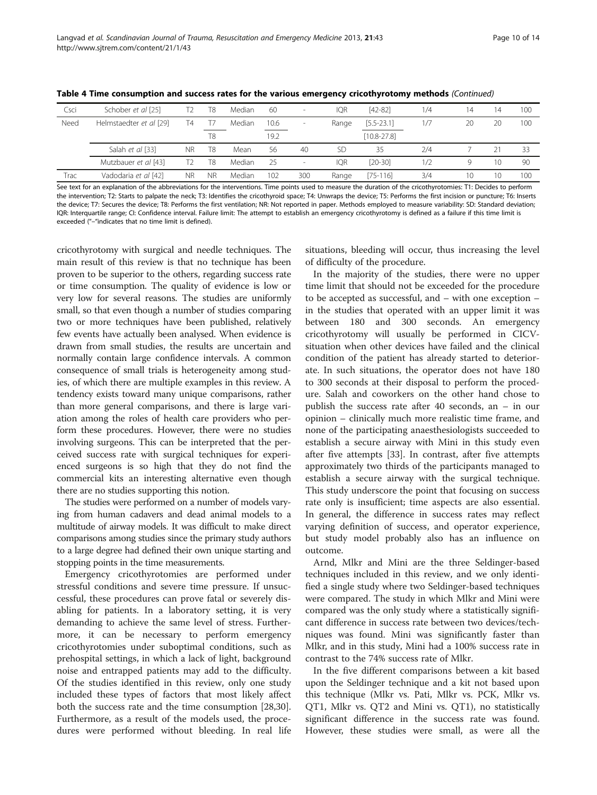| Csci | Schober et al [25]      | Τ2        | T8        | Median | 60   | $\overline{\phantom{a}}$ | <b>IQR</b> | [42-82]         | 1/4 | 14 | 14 | 100 |
|------|-------------------------|-----------|-----------|--------|------|--------------------------|------------|-----------------|-----|----|----|-----|
| Need | Helmstaedter et al [29] | T4        |           | Median | 10.6 | $\overline{\phantom{a}}$ | Range      | $[5.5 - 23.1]$  | 1/7 | 20 | 20 | 100 |
|      |                         |           | T8        |        | 19.2 |                          |            | $[10.8 - 27.8]$ |     |    |    |     |
|      | Salah et al [33]        | <b>NR</b> | T8        | Mean   | 56   | 40                       | <b>SD</b>  | 35              | 7/4 |    |    | 33  |
|      | Mutzbauer et al [43]    | T2        | T8        | Median | -25  |                          | <b>IQR</b> | [20-30]         | 1/2 |    | 10 | 90  |
| Trac | Vadodaria et al [42]    | <b>NR</b> | <b>NR</b> | Median | 102  | 300                      | Range      | $[75-116]$      | 3/4 | 10 | 10 | 100 |

Table 4 Time consumption and success rates for the various emergency cricothyrotomy methods (Continued)

See text for an explanation of the abbreviations for the interventions. Time points used to measure the duration of the cricothyrotomies: T1: Decides to perform the intervention; T2: Starts to palpate the neck; T3: Identifies the cricothyroid space; T4: Unwraps the device; T5: Performs the first incision or puncture; T6: Inserts the device; T7: Secures the device; T8: Performs the first ventilation; NR: Not reported in paper. Methods employed to measure variability: SD: Standard deviation; IQR: Interquartile range; CI: Confidence interval. Failure limit: The attempt to establish an emergency cricothyrotomy is defined as a failure if this time limit is exceeded ("–"indicates that no time limit is defined).

cricothyrotomy with surgical and needle techniques. The main result of this review is that no technique has been proven to be superior to the others, regarding success rate or time consumption. The quality of evidence is low or very low for several reasons. The studies are uniformly small, so that even though a number of studies comparing two or more techniques have been published, relatively few events have actually been analysed. When evidence is drawn from small studies, the results are uncertain and normally contain large confidence intervals. A common consequence of small trials is heterogeneity among studies, of which there are multiple examples in this review. A tendency exists toward many unique comparisons, rather than more general comparisons, and there is large variation among the roles of health care providers who perform these procedures. However, there were no studies involving surgeons. This can be interpreted that the perceived success rate with surgical techniques for experienced surgeons is so high that they do not find the commercial kits an interesting alternative even though there are no studies supporting this notion.

The studies were performed on a number of models varying from human cadavers and dead animal models to a multitude of airway models. It was difficult to make direct comparisons among studies since the primary study authors to a large degree had defined their own unique starting and stopping points in the time measurements.

Emergency cricothyrotomies are performed under stressful conditions and severe time pressure. If unsuccessful, these procedures can prove fatal or severely disabling for patients. In a laboratory setting, it is very demanding to achieve the same level of stress. Furthermore, it can be necessary to perform emergency cricothyrotomies under suboptimal conditions, such as prehospital settings, in which a lack of light, background noise and entrapped patients may add to the difficulty. Of the studies identified in this review, only one study included these types of factors that most likely affect both the success rate and the time consumption [\[28,30](#page-13-0)]. Furthermore, as a result of the models used, the procedures were performed without bleeding. In real life situations, bleeding will occur, thus increasing the level of difficulty of the procedure.

In the majority of the studies, there were no upper time limit that should not be exceeded for the procedure to be accepted as successful, and – with one exception – in the studies that operated with an upper limit it was between 180 and 300 seconds. An emergency cricothyrotomy will usually be performed in CICVsituation when other devices have failed and the clinical condition of the patient has already started to deteriorate. In such situations, the operator does not have 180 to 300 seconds at their disposal to perform the procedure. Salah and coworkers on the other hand chose to publish the success rate after 40 seconds, an – in our opinion – clinically much more realistic time frame, and none of the participating anaesthesiologists succeeded to establish a secure airway with Mini in this study even after five attempts [\[33](#page-13-0)]. In contrast, after five attempts approximately two thirds of the participants managed to establish a secure airway with the surgical technique. This study underscore the point that focusing on success rate only is insufficient; time aspects are also essential. In general, the difference in success rates may reflect varying definition of success, and operator experience, but study model probably also has an influence on outcome.

Arnd, Mlkr and Mini are the three Seldinger-based techniques included in this review, and we only identified a single study where two Seldinger-based techniques were compared. The study in which Mlkr and Mini were compared was the only study where a statistically significant difference in success rate between two devices/techniques was found. Mini was significantly faster than Mlkr, and in this study, Mini had a 100% success rate in contrast to the 74% success rate of Mlkr.

In the five different comparisons between a kit based upon the Seldinger technique and a kit not based upon this technique (Mlkr vs. Pati, Mlkr vs. PCK, Mlkr vs. QT1, Mlkr vs. QT2 and Mini vs. QT1), no statistically significant difference in the success rate was found. However, these studies were small, as were all the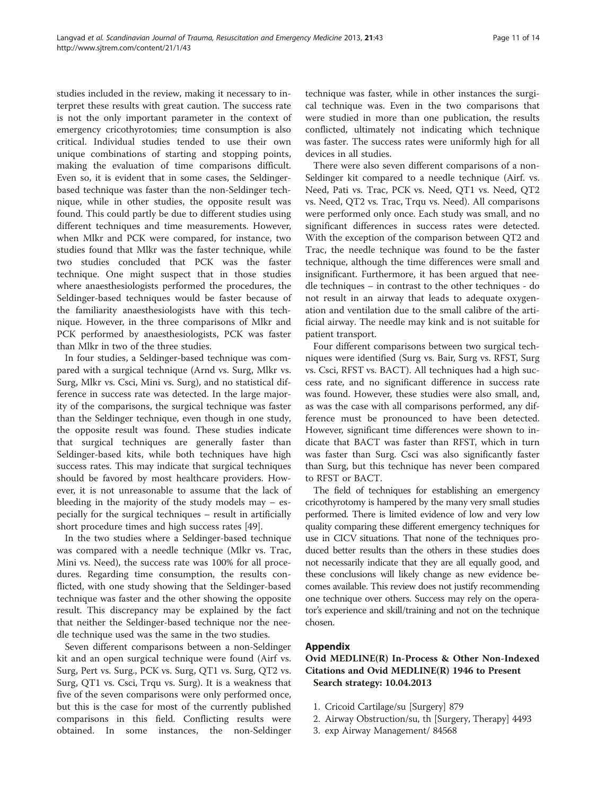<span id="page-10-0"></span>studies included in the review, making it necessary to interpret these results with great caution. The success rate is not the only important parameter in the context of emergency cricothyrotomies; time consumption is also critical. Individual studies tended to use their own unique combinations of starting and stopping points, making the evaluation of time comparisons difficult. Even so, it is evident that in some cases, the Seldingerbased technique was faster than the non-Seldinger technique, while in other studies, the opposite result was found. This could partly be due to different studies using different techniques and time measurements. However, when Mlkr and PCK were compared, for instance, two studies found that Mlkr was the faster technique, while two studies concluded that PCK was the faster technique. One might suspect that in those studies where anaesthesiologists performed the procedures, the Seldinger-based techniques would be faster because of the familiarity anaesthesiologists have with this technique. However, in the three comparisons of Mlkr and PCK performed by anaesthesiologists, PCK was faster

In four studies, a Seldinger-based technique was compared with a surgical technique (Arnd vs. Surg, Mlkr vs. Surg, Mlkr vs. Csci, Mini vs. Surg), and no statistical difference in success rate was detected. In the large majority of the comparisons, the surgical technique was faster than the Seldinger technique, even though in one study, the opposite result was found. These studies indicate that surgical techniques are generally faster than Seldinger-based kits, while both techniques have high success rates. This may indicate that surgical techniques should be favored by most healthcare providers. However, it is not unreasonable to assume that the lack of bleeding in the majority of the study models may – especially for the surgical techniques – result in artificially short procedure times and high success rates [\[49](#page-13-0)].

than Mlkr in two of the three studies.

In the two studies where a Seldinger-based technique was compared with a needle technique (Mlkr vs. Trac, Mini vs. Need), the success rate was 100% for all procedures. Regarding time consumption, the results conflicted, with one study showing that the Seldinger-based technique was faster and the other showing the opposite result. This discrepancy may be explained by the fact that neither the Seldinger-based technique nor the needle technique used was the same in the two studies.

Seven different comparisons between a non-Seldinger kit and an open surgical technique were found (Airf vs. Surg, Pert vs. Surg., PCK vs. Surg, QT1 vs. Surg, QT2 vs. Surg, QT1 vs. Csci, Trqu vs. Surg). It is a weakness that five of the seven comparisons were only performed once, but this is the case for most of the currently published comparisons in this field. Conflicting results were obtained. In some instances, the non-Seldinger technique was faster, while in other instances the surgical technique was. Even in the two comparisons that were studied in more than one publication, the results conflicted, ultimately not indicating which technique was faster. The success rates were uniformly high for all devices in all studies.

There were also seven different comparisons of a non-Seldinger kit compared to a needle technique (Airf. vs. Need, Pati vs. Trac, PCK vs. Need, QT1 vs. Need, QT2 vs. Need, QT2 vs. Trac, Trqu vs. Need). All comparisons were performed only once. Each study was small, and no significant differences in success rates were detected. With the exception of the comparison between QT2 and Trac, the needle technique was found to be the faster technique, although the time differences were small and insignificant. Furthermore, it has been argued that needle techniques – in contrast to the other techniques - do not result in an airway that leads to adequate oxygenation and ventilation due to the small calibre of the artificial airway. The needle may kink and is not suitable for patient transport.

Four different comparisons between two surgical techniques were identified (Surg vs. Bair, Surg vs. RFST, Surg vs. Csci, RFST vs. BACT). All techniques had a high success rate, and no significant difference in success rate was found. However, these studies were also small, and, as was the case with all comparisons performed, any difference must be pronounced to have been detected. However, significant time differences were shown to indicate that BACT was faster than RFST, which in turn was faster than Surg. Csci was also significantly faster than Surg, but this technique has never been compared to RFST or BACT.

The field of techniques for establishing an emergency cricothyrotomy is hampered by the many very small studies performed. There is limited evidence of low and very low quality comparing these different emergency techniques for use in CICV situations. That none of the techniques produced better results than the others in these studies does not necessarily indicate that they are all equally good, and these conclusions will likely change as new evidence becomes available. This review does not justify recommending one technique over others. Success may rely on the operator's experience and skill/training and not on the technique chosen.

#### Appendix

## Ovid MEDLINE(R) In-Process & Other Non-Indexed Citations and Ovid MEDLINE(R) 1946 to Present Search strategy: 10.04.2013

- 1. Cricoid Cartilage/su [Surgery] 879
- 2. Airway Obstruction/su, th [Surgery, Therapy] 4493
- 3. exp Airway Management/ 84568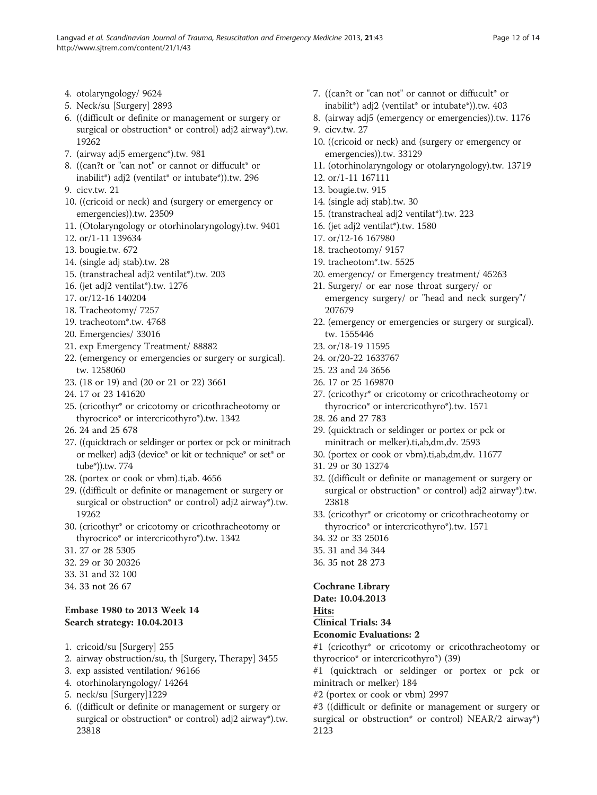- 4. otolaryngology/ 9624
- 5. Neck/su [Surgery] 2893
- 6. ((difficult or definite or management or surgery or surgical or obstruction\* or control) adj2 airway\*).tw. 19262
- 7. (airway adj5 emergenc\*).tw. 981
- 8. ((can?t or "can not" or cannot or diffucult\* or inabilit\*) adj2 (ventilat\* or intubate\*)).tw. 296
- 9. cicv.tw. 21
- 10. ((cricoid or neck) and (surgery or emergency or emergencies)).tw. 23509
- 11. (Otolaryngology or otorhinolaryngology).tw. 9401
- 12. or/1-11 139634
- 13. bougie.tw. 672
- 14. (single adj stab).tw. 28
- 15. (transtracheal adj2 ventilat\*).tw. 203
- 16. (jet adj2 ventilat\*).tw. 1276
- 17. or/12-16 140204
- 18. Tracheotomy/ 7257
- 19. tracheotom\*.tw. 4768
- 20. Emergencies/ 33016
- 21. exp Emergency Treatment/ 88882
- 22. (emergency or emergencies or surgery or surgical). tw. 1258060
- 23. (18 or 19) and (20 or 21 or 22) 3661
- 24. 17 or 23 141620
- 25. (cricothyr\* or cricotomy or cricothracheotomy or thyrocrico\* or intercricothyro\*).tw. 1342
- 26. 24 and 25 678
- 27. ((quicktrach or seldinger or portex or pck or minitrach or melker) adj3 (device\* or kit or technique\* or set\* or tube\*)).tw. 774
- 28. (portex or cook or vbm).ti,ab. 4656
- 29. ((difficult or definite or management or surgery or surgical or obstruction\* or control) adj2 airway\*).tw. 19262
- 30. (cricothyr\* or cricotomy or cricothracheotomy or thyrocrico\* or intercricothyro\*).tw. 1342
- 31. 27 or 28 5305
- 32. 29 or 30 20326
- 33. 31 and 32 100
- 34. 33 not 26 67

## Embase 1980 to 2013 Week 14 Search strategy: 10.04.2013

- 1. cricoid/su [Surgery] 255
- 2. airway obstruction/su, th [Surgery, Therapy] 3455
- 3. exp assisted ventilation/ 96166
- 4. otorhinolaryngology/ 14264
- 5. neck/su [Surgery]1229
- 6. ((difficult or definite or management or surgery or surgical or obstruction\* or control) adj2 airway\*).tw. 23818
- 7. ((can?t or "can not" or cannot or diffucult\* or inabilit\*) adj2 (ventilat\* or intubate\*)).tw. 403
- 8. (airway adj5 (emergency or emergencies)).tw. 1176
- 9. cicv.tw. 27
- 10. ((cricoid or neck) and (surgery or emergency or emergencies)).tw. 33129
- 11. (otorhinolaryngology or otolaryngology).tw. 13719
- 12. or/1-11 167111
- 13. bougie.tw. 915
- 14. (single adj stab).tw. 30
- 15. (transtracheal adj2 ventilat\*).tw. 223
- 16. (jet adj2 ventilat\*).tw. 1580
- 17. or/12-16 167980
- 18. tracheotomy/ 9157
- 19. tracheotom\*.tw. 5525
- 20. emergency/ or Emergency treatment/ 45263
- 21. Surgery/ or ear nose throat surgery/ or emergency surgery/ or "head and neck surgery"/ 207679
- 22. (emergency or emergencies or surgery or surgical). tw. 1555446
- 23. or/18-19 11595
- 24. or/20-22 1633767
- 25. 23 and 24 3656
- 26. 17 or 25 169870
- 27. (cricothyr\* or cricotomy or cricothracheotomy or thyrocrico\* or intercricothyro\*).tw. 1571
- 28. 26 and 27 783
- 29. (quicktrach or seldinger or portex or pck or minitrach or melker).ti,ab,dm,dv. 2593
- 30. (portex or cook or vbm).ti,ab,dm,dv. 11677
- 31. 29 or 30 13274
- 32. ((difficult or definite or management or surgery or surgical or obstruction\* or control) adj2 airway\*).tw. 23818
- 33. (cricothyr\* or cricotomy or cricothracheotomy or thyrocrico\* or intercricothyro\*).tw. 1571
- 34. 32 or 33 25016
- 35. 31 and 34 344
- 36. 35 not 28 273

## Cochrane Library

Date: 10.04.2013

Hits: Clinical Trials: 34

## Economic Evaluations: 2

#1 (cricothyr\* or cricotomy or cricothracheotomy or thyrocrico\* or intercricothyro\*) (39)

#1 (quicktrach or seldinger or portex or pck or minitrach or melker) 184

#2 (portex or cook or vbm) 2997

#3 ((difficult or definite or management or surgery or surgical or obstruction\* or control) NEAR/2 airway\*) 2123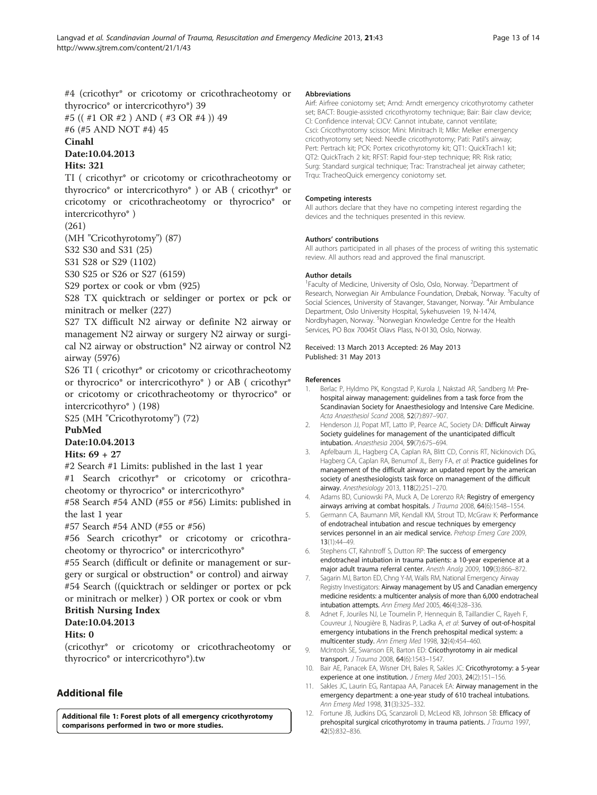<span id="page-12-0"></span>#4 (cricothyr\* or cricotomy or cricothracheotomy or thyrocrico\* or intercricothyro\*) 39

#5 (( #1 OR #2 ) AND ( #3 OR #4 )) 49 #6 (#5 AND NOT #4) 45

## Cinahl

## Date:10.04.2013

## Hits: 321

TI ( cricothyr\* or cricotomy or cricothracheotomy or thyrocrico\* or intercricothyro\* ) or AB ( cricothyr\* or cricotomy or cricothracheotomy or thyrocrico\* or intercricothyro\* )

(261)

(MH "Cricothyrotomy") (87)

S32 S30 and S31 (25)

S31 S28 or S29 (1102)

S30 S25 or S26 or S27 (6159)

S29 portex or cook or vbm (925)

S28 TX quicktrach or seldinger or portex or pck or minitrach or melker (227)

S27 TX difficult N2 airway or definite N2 airway or management N2 airway or surgery N2 airway or surgical N2 airway or obstruction\* N2 airway or control N2 airway (5976)

S26 TI ( cricothyr\* or cricotomy or cricothracheotomy or thyrocrico\* or intercricothyro\* ) or AB ( cricothyr\* or cricotomy or cricothracheotomy or thyrocrico\* or intercricothyro\* ) (198)

S25 (MH "Cricothyrotomy") (72)

#### PubMed

#### Date:10.04.2013

## Hits: 69 + 27

#2 Search #1 Limits: published in the last 1 year

#1 Search cricothyr\* or cricotomy or cricothracheotomy or thyrocrico\* or intercricothyro\*

#58 Search #54 AND (#55 or #56) Limits: published in the last 1 year

#57 Search #54 AND (#55 or #56)

#56 Search cricothyr\* or cricotomy or cricothracheotomy or thyrocrico\* or intercricothyro\*

#55 Search (difficult or definite or management or surgery or surgical or obstruction\* or control) and airway #54 Search ((quicktrach or seldinger or portex or pck or minitrach or melker) ) OR portex or cook or vbm

## British Nursing Index

## Date:10.04.2013

#### Hits: 0

(cricothyr\* or cricotomy or cricothracheotomy or thyrocrico\* or intercricothyro\*).tw

## Additional file

[Additional file 1:](http://www.biomedcentral.com/content/supplementary/1757-7241-21-43-S1.docx) Forest plots of all emergency cricothyrotomy comparisons performed in two or more studies.

#### Abbreviations

Airf: Airfree coniotomy set; Arnd: Arndt emergency cricothyrotomy catheter set; BACT: Bougie-assisted cricothyrotomy technique; Bair: Bair claw device; CI: Confidence interval; CICV: Cannot intubate, cannot ventilate; Csci: Cricothyrotomy scissor; Mini: Minitrach II; Mlkr: Melker emergency cricothyrotomy set; Need: Needle cricothyrotomy; Pati: Patil's airway; Pert: Pertrach kit; PCK: Portex cricothyrotomy kit; QT1: QuickTrach1 kit; QT2: QuickTrach 2 kit; RFST: Rapid four-step technique; RR: Risk ratio; Surg: Standard surgical technique; Trac: Transtracheal jet airway catheter; Trqu: TracheoQuick emergency coniotomy set.

#### Competing interests

All authors declare that they have no competing interest regarding the devices and the techniques presented in this review.

#### Authors' contributions

All authors participated in all phases of the process of writing this systematic review. All authors read and approved the final manuscript.

#### Author details

<sup>1</sup> Faculty of Medicine, University of Oslo, Oslo, Norway. <sup>2</sup> Department of Research, Norwegian Air Ambulance Foundation, Drøbak, Norway. <sup>3</sup>Faculty of Social Sciences, University of Stavanger, Stavanger, Norway. <sup>4</sup>Air Ambulance Department, Oslo University Hospital, Sykehusveien 19, N-1474, Nordbyhagen, Norway. <sup>5</sup>Norwegian Knowledge Centre for the Health Services, PO Box 7004St Olavs Plass, N-0130, Oslo, Norway.

#### Received: 13 March 2013 Accepted: 26 May 2013 Published: 31 May 2013

#### References

- 1. Berlac P, Hyldmo PK, Kongstad P, Kurola J, Nakstad AR, Sandberg M: Prehospital airway management: guidelines from a task force from the Scandinavian Society for Anaesthesiology and Intensive Care Medicine. Acta Anaesthesiol Scand 2008, 52(7):897–907.
- 2. Henderson JJ, Popat MT, Latto IP, Pearce AC, Society DA: Difficult Airway Society guidelines for management of the unanticipated difficult intubation. Anaesthesia 2004, 59(7):675–694.
- 3. Apfelbaum JL, Hagberg CA, Caplan RA, Blitt CD, Connis RT, Nickinovich DG, Hagberg CA, Caplan RA, Benumof JL, Berry FA, et al: Practice guidelines for management of the difficult airway: an updated report by the american society of anesthesiologists task force on management of the difficult airway. Anesthesiology 2013, 118(2):251–270.
- 4. Adams BD, Cuniowski PA, Muck A, De Lorenzo RA: Registry of emergency airways arriving at combat hospitals. J Trauma 2008, 64(6):1548–1554.
- 5. Germann CA, Baumann MR, Kendall KM, Strout TD, McGraw K: Performance of endotracheal intubation and rescue techniques by emergency services personnel in an air medical service. Prehosp Emerg Care 2009, 13(1):44–49.
- 6. Stephens CT, Kahntroff S, Dutton RP: The success of emergency endotracheal intubation in trauma patients: a 10-year experience at a major adult trauma referral center. Anesth Analg 2009, 109(3):866–872.
- 7. Sagarin MJ, Barton ED, Chng Y-M, Walls RM, National Emergency Airway Registry Investigators: Airway management by US and Canadian emergency medicine residents: a multicenter analysis of more than 6,000 endotracheal intubation attempts. Ann Emerg Med 2005, 46(4):328–336.
- 8. Adnet F, Jouriles NJ, Le Toumelin P, Hennequin B, Taillandier C, Rayeh F, Couvreur J, Nougière B, Nadiras P, Ladka A, et al: Survey of out-of-hospital emergency intubations in the French prehospital medical system: a multicenter study. Ann Emerg Med 1998, 32(4):454–460.
- 9. McIntosh SE, Swanson ER, Barton ED: Cricothyrotomy in air medical transport. J Trauma 2008, 64(6):1543–1547.
- 10. Bair AE, Panacek EA, Wisner DH, Bales R, Sakles JC: Cricothyrotomy: a 5-year experience at one institution. J Emerg Med 2003, 24(2):151-156
- 11. Sakles JC, Laurin EG, Rantapaa AA, Panacek EA: Airway management in the emergency department: a one-year study of 610 tracheal intubations. Ann Emerg Med 1998, 31(3):325–332.
- 12. Fortune JB, Judkins DG, Scanzaroli D, McLeod KB, Johnson SB: Efficacy of prehospital surgical cricothyrotomy in trauma patients. J Trauma 1997, 42(5):832–836.